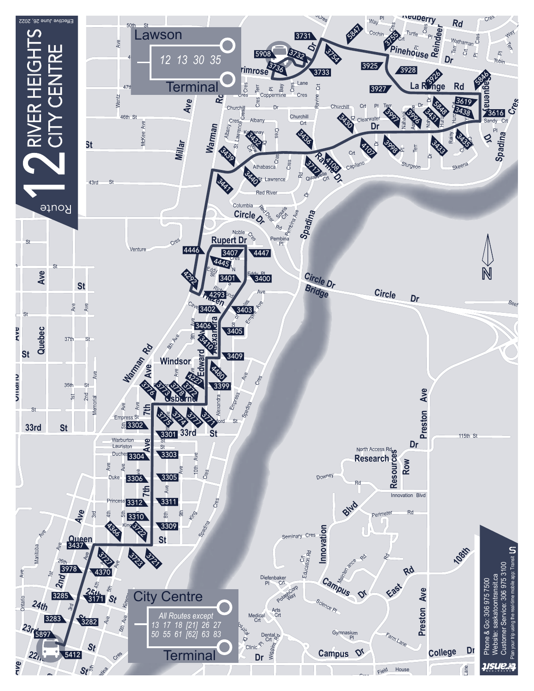